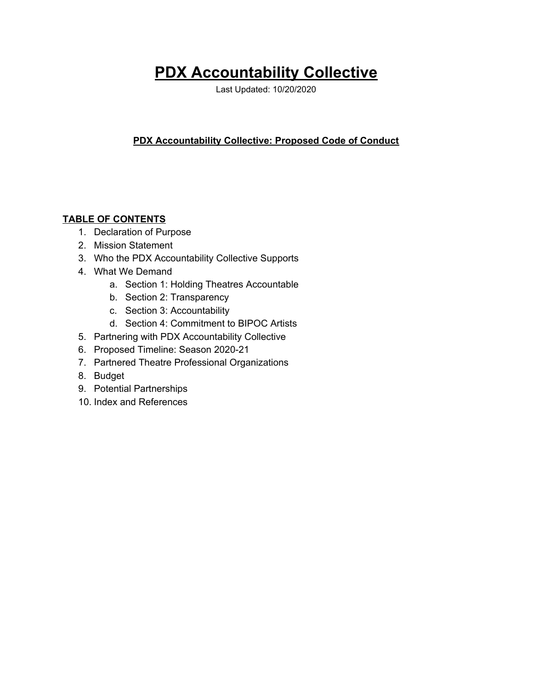# **PDX Accountability Collective**

Last Updated: 10/20/2020

## **PDX Accountability Collective: Proposed Code of Conduct**

#### **TABLE OF CONTENTS**

- 1. Declaration of Purpose
- 2. Mission Statement
- 3. Who the PDX Accountability Collective Supports
- 4. What We Demand
	- a. Section 1: Holding Theatres Accountable
	- b. Section 2: Transparency
	- c. Section 3: Accountability
	- d. Section 4: Commitment to BIPOC Artists
- 5. Partnering with PDX Accountability Collective
- 6. Proposed Timeline: Season 2020-21
- 7. Partnered Theatre Professional Organizations
- 8. Budget
- 9. Potential Partnerships
- 10. Index and References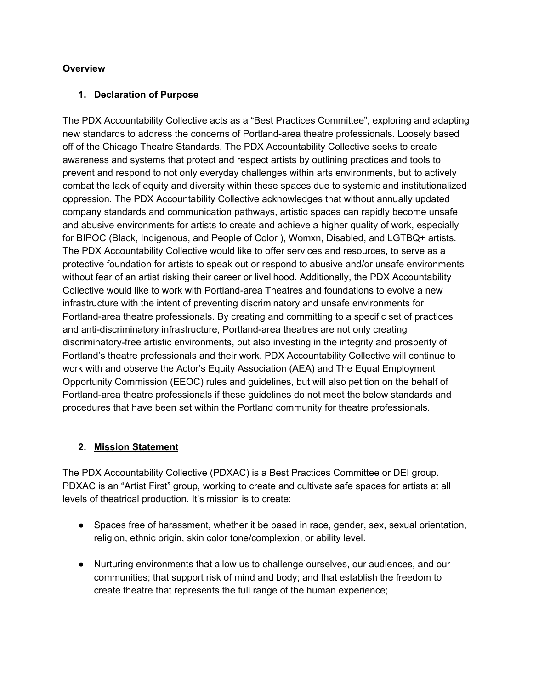#### **Overview**

#### **1. Declaration of Purpose**

The PDX Accountability Collective acts as a "Best Practices Committee", exploring and adapting new standards to address the concerns of Portland-area theatre professionals. Loosely based off of the Chicago Theatre Standards, The PDX Accountability Collective seeks to create awareness and systems that protect and respect artists by outlining practices and tools to prevent and respond to not only everyday challenges within arts environments, but to actively combat the lack of equity and diversity within these spaces due to systemic and institutionalized oppression. The PDX Accountability Collective acknowledges that without annually updated company standards and communication pathways, artistic spaces can rapidly become unsafe and abusive environments for artists to create and achieve a higher quality of work, especially for BIPOC (Black, Indigenous, and People of Color ), Womxn, Disabled, and LGTBQ+ artists. The PDX Accountability Collective would like to offer services and resources, to serve as a protective foundation for artists to speak out or respond to abusive and/or unsafe environments without fear of an artist risking their career or livelihood. Additionally, the PDX Accountability Collective would like to work with Portland-area Theatres and foundations to evolve a new infrastructure with the intent of preventing discriminatory and unsafe environments for Portland-area theatre professionals. By creating and committing to a specific set of practices and anti-discriminatory infrastructure, Portland-area theatres are not only creating discriminatory-free artistic environments, but also investing in the integrity and prosperity of Portland's theatre professionals and their work. PDX Accountability Collective will continue to work with and observe the Actor's Equity Association (AEA) and The Equal Employment Opportunity Commission (EEOC) rules and guidelines, but will also petition on the behalf of Portland-area theatre professionals if these guidelines do not meet the below standards and procedures that have been set within the Portland community for theatre professionals.

#### **2. Mission Statement**

The PDX Accountability Collective (PDXAC) is a Best Practices Committee or DEI group. PDXAC is an "Artist First" group, working to create and cultivate safe spaces for artists at all levels of theatrical production. It's mission is to create:

- Spaces free of harassment, whether it be based in race, gender, sex, sexual orientation, religion, ethnic origin, skin color tone/complexion, or ability level.
- Nurturing environments that allow us to challenge ourselves, our audiences, and our communities; that support risk of mind and body; and that establish the freedom to create theatre that represents the full range of the human experience;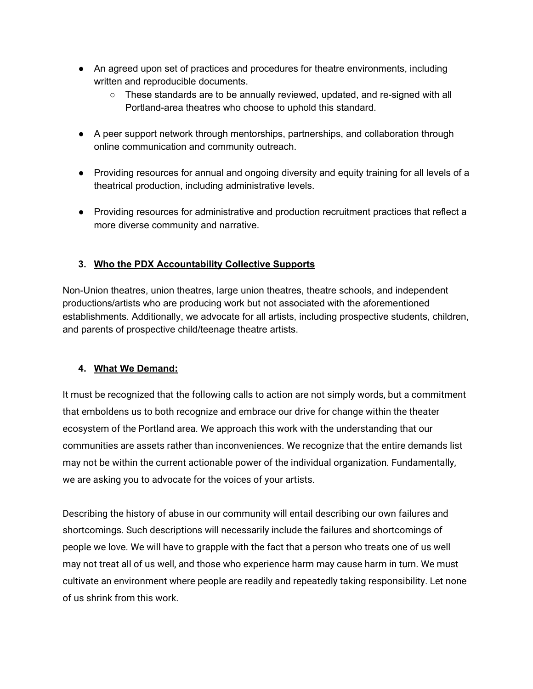- An agreed upon set of practices and procedures for theatre environments, including written and reproducible documents.
	- These standards are to be annually reviewed, updated, and re-signed with all Portland-area theatres who choose to uphold this standard.
- A peer support network through mentorships, partnerships, and collaboration through online communication and community outreach.
- Providing resources for annual and ongoing diversity and equity training for all levels of a theatrical production, including administrative levels.
- Providing resources for administrative and production recruitment practices that reflect a more diverse community and narrative.

# **3. Who the PDX Accountability Collective Supports**

Non-Union theatres, union theatres, large union theatres, theatre schools, and independent productions/artists who are producing work but not associated with the aforementioned establishments. Additionally, we advocate for all artists, including prospective students, children, and parents of prospective child/teenage theatre artists.

# **4. What We Demand:**

It must be recognized that the following calls to action are not simply words, but a commitment that emboldens us to both recognize and embrace our drive for change within the theater ecosystem of the Portland area. We approach this work with the understanding that our communities are assets rather than inconveniences. We recognize that the entire demands list may not be within the current actionable power of the individual organization. Fundamentally, we are asking you to advocate for the voices of your artists.

Describing the history of abuse in our community will entail describing our own failures and shortcomings. Such descriptions will necessarily include the failures and shortcomings of people we love. We will have to grapple with the fact that a person who treats one of us well may not treat all of us well, and those who experience harm may cause harm in turn. We must cultivate an environment where people are readily and repeatedly taking responsibility. Let none of us shrink from this work.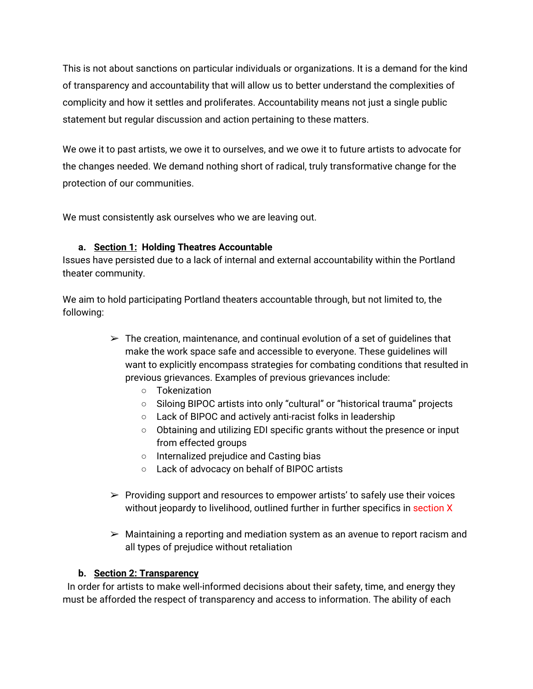This is not about sanctions on particular individuals or organizations. It is a demand for the kind of transparency and accountability that will allow us to better understand the complexities of complicity and how it settles and proliferates. Accountability means not just a single public statement but regular discussion and action pertaining to these matters.

We owe it to past artists, we owe it to ourselves, and we owe it to future artists to advocate for the changes needed. We demand nothing short of radical, truly transformative change for the protection of our communities.

We must consistently ask ourselves who we are leaving out.

# **a. Section 1: Holding Theatres Accountable**

Issues have persisted due to a lack of internal and external accountability within the Portland theater community.

We aim to hold participating Portland theaters accountable through, but not limited to, the following:

- $\triangleright$  The creation, maintenance, and continual evolution of a set of guidelines that make the work space safe and accessible to everyone. These guidelines will want to explicitly encompass strategies for combating conditions that resulted in previous grievances. Examples of previous grievances include:
	- Tokenization
	- Siloing BIPOC artists into only "cultural" or "historical trauma" projects
	- Lack of BIPOC and actively anti-racist folks in leadership
	- Obtaining and utilizing EDI specific grants without the presence or input from effected groups
	- Internalized prejudice and Casting bias
	- Lack of advocacy on behalf of BIPOC artists
- $\triangleright$  Providing support and resources to empower artists' to safely use their voices without jeopardy to livelihood, outlined further in further specifics in section X
- $\triangleright$  Maintaining a reporting and mediation system as an avenue to report racism and all types of prejudice without retaliation

#### **b. Section 2: Transparency**

In order for artists to make well-informed decisions about their safety, time, and energy they must be afforded the respect of transparency and access to information. The ability of each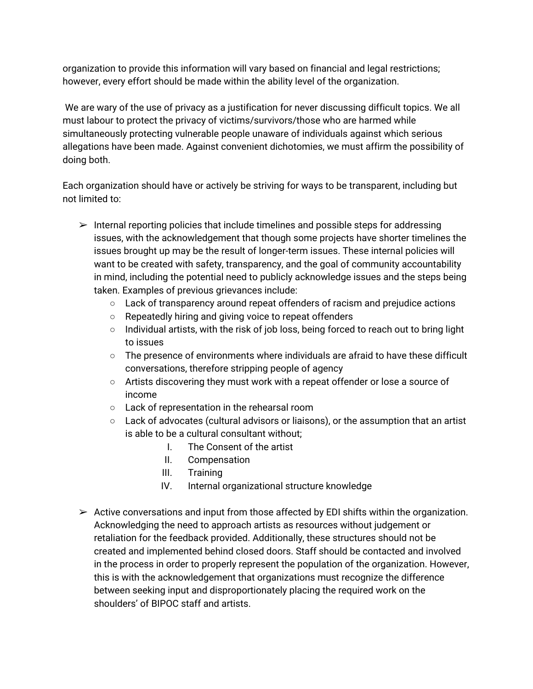organization to provide this information will vary based on financial and legal restrictions; however, every effort should be made within the ability level of the organization.

We are wary of the use of privacy as a justification for never discussing difficult topics. We all must labour to protect the privacy of victims/survivors/those who are harmed while simultaneously protecting vulnerable people unaware of individuals against which serious allegations have been made. Against convenient dichotomies, we must affirm the possibility of doing both.

Each organization should have or actively be striving for ways to be transparent, including but not limited to:

- $\triangleright$  Internal reporting policies that include timelines and possible steps for addressing issues, with the acknowledgement that though some projects have shorter timelines the issues brought up may be the result of longer-term issues. These internal policies will want to be created with safety, transparency, and the goal of community accountability in mind, including the potential need to publicly acknowledge issues and the steps being taken. Examples of previous grievances include:
	- $\circ$  Lack of transparency around repeat offenders of racism and prejudice actions
	- Repeatedly hiring and giving voice to repeat offenders
	- Individual artists, with the risk of job loss, being forced to reach out to bring light to issues
	- $\circ$  The presence of environments where individuals are afraid to have these difficult conversations, therefore stripping people of agency
	- Artists discovering they must work with a repeat offender or lose a source of income
	- Lack of representation in the rehearsal room
	- Lack of advocates (cultural advisors or liaisons), or the assumption that an artist is able to be a cultural consultant without;
		- I. The Consent of the artist
		- II. Compensation
		- III. Training
		- IV. Internal organizational structure knowledge
- $\triangleright$  Active conversations and input from those affected by EDI shifts within the organization. Acknowledging the need to approach artists as resources without judgement or retaliation for the feedback provided. Additionally, these structures should not be created and implemented behind closed doors. Staff should be contacted and involved in the process in order to properly represent the population of the organization. However, this is with the acknowledgement that organizations must recognize the difference between seeking input and disproportionately placing the required work on the shoulders' of BIPOC staff and artists.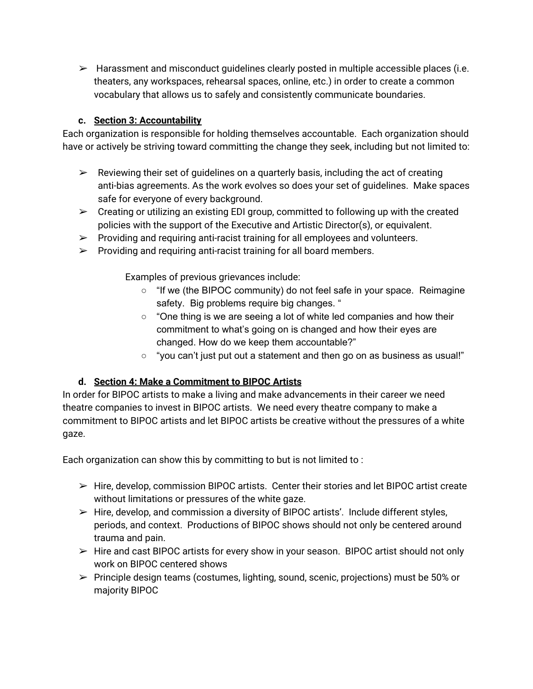$\triangleright$  Harassment and misconduct quidelines clearly posted in multiple accessible places (i.e. theaters, any workspaces, rehearsal spaces, online, etc.) in order to create a common vocabulary that allows us to safely and consistently communicate boundaries.

# **c. Section 3: Accountability**

Each organization is responsible for holding themselves accountable. Each organization should have or actively be striving toward committing the change they seek, including but not limited to:

- $\triangleright$  Reviewing their set of quidelines on a quarterly basis, including the act of creating anti-bias agreements. As the work evolves so does your set of guidelines. Make spaces safe for everyone of every background.
- $\triangleright$  Creating or utilizing an existing EDI group, committed to following up with the created policies with the support of the Executive and Artistic Director(s), or equivalent.
- $\triangleright$  Providing and requiring anti-racist training for all employees and volunteers.
- $\triangleright$  Providing and requiring anti-racist training for all board members.

Examples of previous grievances include:

- "If we (the BIPOC community) do not feel safe in your space. Reimagine safety. Big problems require big changes. "
- "One thing is we are seeing a lot of white led companies and how their commitment to what's going on is changed and how their eyes are changed. How do we keep them accountable?"
- "you can't just put out a statement and then go on as business as usual!"

#### **d. Section 4: Make a Commitment to BIPOC Artists**

In order for BIPOC artists to make a living and make advancements in their career we need theatre companies to invest in BIPOC artists. We need every theatre company to make a commitment to BIPOC artists and let BIPOC artists be creative without the pressures of a white gaze.

Each organization can show this by committing to but is not limited to :

- $\triangleright$  Hire, develop, commission BIPOC artists. Center their stories and let BIPOC artist create without limitations or pressures of the white gaze.
- $\triangleright$  Hire, develop, and commission a diversity of BIPOC artists'. Include different styles, periods, and context. Productions of BIPOC shows should not only be centered around trauma and pain.
- $\triangleright$  Hire and cast BIPOC artists for every show in your season. BIPOC artist should not only work on BIPOC centered shows
- $\triangleright$  Principle design teams (costumes, lighting, sound, scenic, projections) must be 50% or majority BIPOC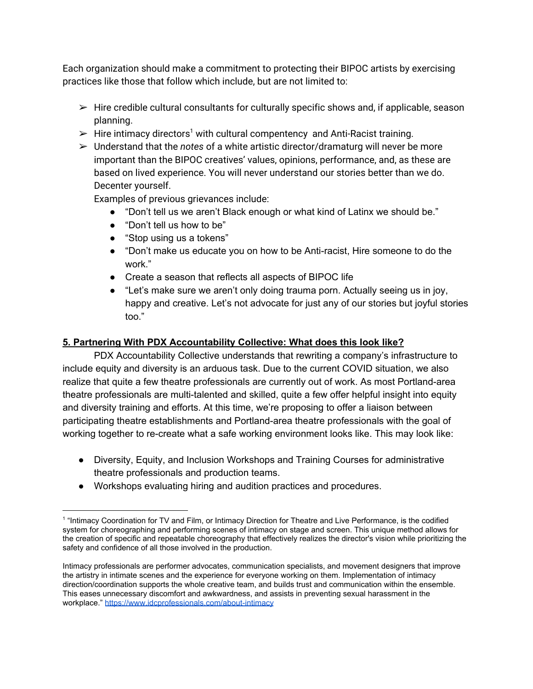Each organization should make a commitment to protecting their BIPOC artists by exercising practices like those that follow which include, but are not limited to:

- $\triangleright$  Hire credible cultural consultants for culturally specific shows and, if applicable, season planning.
- $\triangleright$  Hire intimacy directors<sup>1</sup> with cultural compentency and Anti-Racist training.
- ➢ Understand that the *notes* of a white artistic director/dramaturg will never be more important than the BIPOC creatives' values, opinions, performance, and, as these are based on lived experience. You will never understand our stories better than we do. Decenter yourself.

Examples of previous grievances include:

- "Don't tell us we aren't Black enough or what kind of Latinx we should be."
- "Don't tell us how to be"
- "Stop using us a tokens"
- "Don't make us educate you on how to be Anti-racist, Hire someone to do the work."
- Create a season that reflects all aspects of BIPOC life
- "Let's make sure we aren't only doing trauma porn. Actually seeing us in joy, happy and creative. Let's not advocate for just any of our stories but joyful stories too."

#### **5. Partnering With PDX Accountability Collective: What does this look like?**

PDX Accountability Collective understands that rewriting a company's infrastructure to include equity and diversity is an arduous task. Due to the current COVID situation, we also realize that quite a few theatre professionals are currently out of work. As most Portland-area theatre professionals are multi-talented and skilled, quite a few offer helpful insight into equity and diversity training and efforts. At this time, we're proposing to offer a liaison between participating theatre establishments and Portland-area theatre professionals with the goal of working together to re-create what a safe working environment looks like. This may look like:

- Diversity, Equity, and Inclusion Workshops and Training Courses for administrative theatre professionals and production teams.
- Workshops evaluating hiring and audition practices and procedures.

<sup>&</sup>lt;sup>1</sup> "Intimacy Coordination for TV and Film, or Intimacy Direction for Theatre and Live Performance, is the codified system for choreographing and performing scenes of intimacy on stage and screen. This unique method allows for the creation of specific and repeatable choreography that effectively realizes the director's vision while prioritizing the safety and confidence of all those involved in the production.

Intimacy professionals are performer advocates, communication specialists, and movement designers that improve the artistry in intimate scenes and the experience for everyone working on them. Implementation of intimacy direction/coordination supports the whole creative team, and builds trust and communication within the ensemble. This eases unnecessary discomfort and awkwardness, and assists in preventing sexual harassment in the workplace." <https://www.idcprofessionals.com/about-intimacy>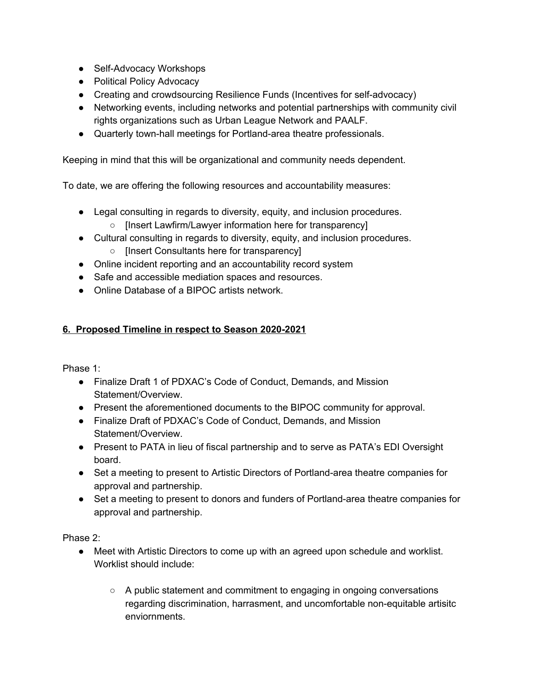- Self-Advocacy Workshops
- Political Policy Advocacy
- Creating and crowdsourcing Resilience Funds (Incentives for self-advocacy)
- Networking events, including networks and potential partnerships with community civil rights organizations such as Urban League Network and PAALF.
- Quarterly town-hall meetings for Portland-area theatre professionals.

Keeping in mind that this will be organizational and community needs dependent.

To date, we are offering the following resources and accountability measures:

- Legal consulting in regards to diversity, equity, and inclusion procedures.
	- [Insert Lawfirm/Lawyer information here for transparency]
- Cultural consulting in regards to diversity, equity, and inclusion procedures.
	- [Insert Consultants here for transparency]
- Online incident reporting and an accountability record system
- Safe and accessible mediation spaces and resources.
- Online Database of a BIPOC artists network.

# **6. Proposed Timeline in respect to Season 2020-2021**

Phase 1:

- Finalize Draft 1 of PDXAC's Code of Conduct, Demands, and Mission Statement/Overview.
- Present the aforementioned documents to the BIPOC community for approval.
- Finalize Draft of PDXAC's Code of Conduct, Demands, and Mission Statement/Overview.
- Present to PATA in lieu of fiscal partnership and to serve as PATA's EDI Oversight board.
- Set a meeting to present to Artistic Directors of Portland-area theatre companies for approval and partnership.
- Set a meeting to present to donors and funders of Portland-area theatre companies for approval and partnership.

Phase 2:

- Meet with Artistic Directors to come up with an agreed upon schedule and worklist. Worklist should include:
	- $\circ$  A public statement and commitment to engaging in ongoing conversations regarding discrimination, harrasment, and uncomfortable non-equitable artisitc enviornments.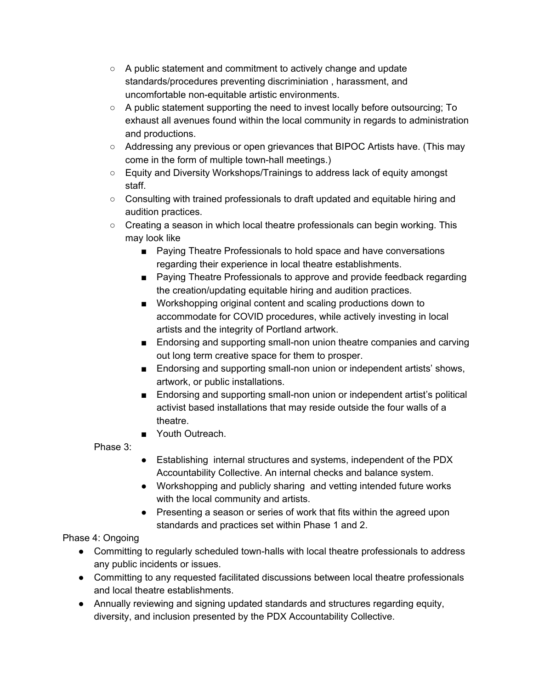- A public statement and commitment to actively change and update standards/procedures preventing discriminiation , harassment, and uncomfortable non-equitable artistic environments.
- A public statement supporting the need to invest locally before outsourcing; To exhaust all avenues found within the local community in regards to administration and productions.
- Addressing any previous or open grievances that BIPOC Artists have. (This may come in the form of multiple town-hall meetings.)
- Equity and Diversity Workshops/Trainings to address lack of equity amongst staff.
- Consulting with trained professionals to draft updated and equitable hiring and audition practices.
- Creating a season in which local theatre professionals can begin working. This may look like
	- Paying Theatre Professionals to hold space and have conversations regarding their experience in local theatre establishments.
	- Paying Theatre Professionals to approve and provide feedback regarding the creation/updating equitable hiring and audition practices.
	- Workshopping original content and scaling productions down to accommodate for COVID procedures, while actively investing in local artists and the integrity of Portland artwork.
	- Endorsing and supporting small-non union theatre companies and carving out long term creative space for them to prosper.
	- Endorsing and supporting small-non union or independent artists' shows, artwork, or public installations.
	- Endorsing and supporting small-non union or independent artist's political activist based installations that may reside outside the four walls of a theatre.
	- Youth Outreach.

Phase 3:

- Establishing internal structures and systems, independent of the PDX Accountability Collective. An internal checks and balance system.
- Workshopping and publicly sharing and vetting intended future works with the local community and artists.
- Presenting a season or series of work that fits within the agreed upon standards and practices set within Phase 1 and 2.

# Phase 4: Ongoing

- Committing to regularly scheduled town-halls with local theatre professionals to address any public incidents or issues.
- Committing to any requested facilitated discussions between local theatre professionals and local theatre establishments.
- Annually reviewing and signing updated standards and structures regarding equity, diversity, and inclusion presented by the PDX Accountability Collective.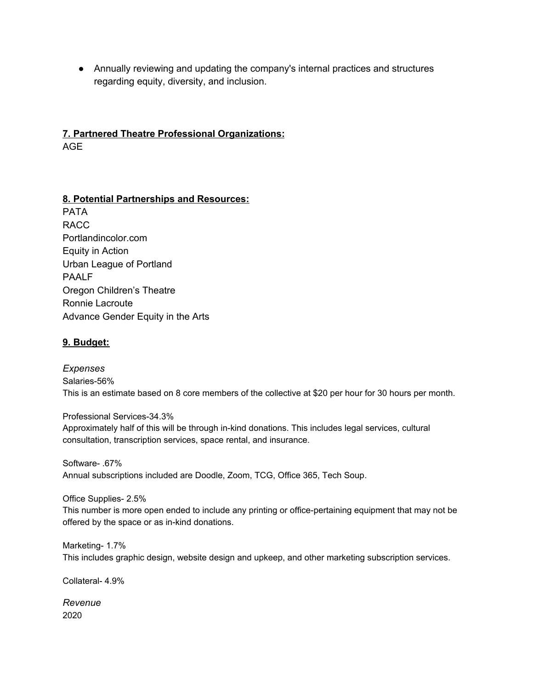● Annually reviewing and updating the company's internal practices and structures regarding equity, diversity, and inclusion.

# **7. Partnered Theatre Professional Organizations:**

AGE

# **8. Potential Partnerships and Resources:**

PATA RACC Portlandincolor.com Equity in Action Urban League of Portland PAALF Oregon Children's Theatre Ronnie Lacroute Advance Gender Equity in the Arts

## **9. Budget:**

*Expenses* Salaries-56% This is an estimate based on 8 core members of the collective at \$20 per hour for 30 hours per month.

Professional Services-34.3% Approximately half of this will be through in-kind donations. This includes legal services, cultural consultation, transcription services, space rental, and insurance.

Software- .67% Annual subscriptions included are Doodle, Zoom, TCG, Office 365, Tech Soup.

Office Supplies- 2.5%

This number is more open ended to include any printing or office-pertaining equipment that may not be offered by the space or as in-kind donations.

Marketing- 1.7% This includes graphic design, website design and upkeep, and other marketing subscription services.

Collateral- 4.9%

*Revenue* 2020